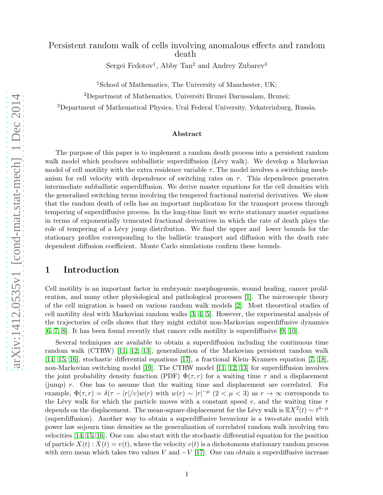## Persistent random walk of cells involving anomalous effects and random death

Sergei Fedotov<sup>1</sup>, Abby Tan<sup>2</sup> and Andrey Zubarev<sup>3</sup>

<sup>1</sup>School of Mathematics, The University of Manchester, UK;

<sup>2</sup>Department of Mathematics, Universiti Brunei Darussalam, Brunei;

<sup>3</sup>Department of Mathematical Physics, Ural Federal University, Yekaterinburg, Russia.

### Abstract

The purpose of this paper is to implement a random death process into a persistent random walk model which produces subballistic superdiffusion (Lévy walk). We develop a Markovian model of cell motility with the extra residence variable  $\tau$ . The model involves a switching mechanism for cell velocity with dependence of switching rates on  $\tau$ . This dependence generates intermediate subballistic superdiffusion. We derive master equations for the cell densities with the generalized switching terms involving the tempered fractional material derivatives. We show that the random death of cells has an important implication for the transport process through tempering of superdiffusive process. In the long-time limit we write stationary master equations in terms of exponentially truncated fractional derivatives in which the rate of death plays the role of tempering of a Lévy jump distribution. We find the upper and lower bounds for the stationary profiles corresponding to the ballistic transport and diffusion with the death rate dependent diffusion coefficient. Monte Carlo simulations confirm these bounds.

### 1 Introduction

Cell motility is an important factor in embryonic morphogenesis, wound healing, cancer proliferation, and many other physiological and pathological processes [\[1\]](#page-12-0). The microscopic theory of the cell migration is based on various random walk models [\[2\]](#page-12-1). Most theoretical studies of cell motility deal with Markovian random walks [\[3,](#page-12-2) [4,](#page-12-3) [5\]](#page-12-4). However, the experimental analysis of the trajectories of cells shows that they might exhibit non-Markovian superdiffusive dynamics [\[6,](#page-13-0) [7,](#page-13-1) [8\]](#page-13-2). It has been found recently that cancer cells motility is superdiffusive [\[9,](#page-13-3) [10\]](#page-13-4).

Several techniques are available to obtain a superdiffusion including the continuous time random walk (CTRW) [\[11,](#page-13-5) [12,](#page-13-6) [13\]](#page-13-7), generalization of the Markovian persistent random walk [\[14,](#page-13-8) [15,](#page-13-9) [16\]](#page-13-10), stochastic differential equations [\[17\]](#page-13-11), a fractional Klein–Kramers equation [\[7,](#page-13-1) [18\]](#page-13-12), non-Markovian switching model [\[19\]](#page-13-13). The CTRW model [\[11,](#page-13-5) [12,](#page-13-6) [13\]](#page-13-7) for superdiffusion involves the joint probability density function (PDF)  $\Phi(\tau, r)$  for a waiting time  $\tau$  and a displacement (jump) r. One has to assume that the waiting time and displacement are correlated. For example,  $\Phi(\tau, r) = \delta(\tau - |r|/v)w(r)$  with  $w(r) \sim |r|^{-\mu}$   $(2 < \mu < 3)$  as  $r \to \infty$  corresponds to the Lévy walk for which the particle moves with a constant speed v, and the waiting time  $\tau$ depends on the displacement. The mean-square displacement for the Lévy walk is  $\mathbb{E}X^2(t) \sim t^{4-\mu}$ (superdiffusion). Another way to obtain a superdiffusive bevaviour is a two-state model with power law sojourn time densities as the generalization of correlated random walk involving two velocities [\[14,](#page-13-8) [15,](#page-13-9) [16\]](#page-13-10). One can also start with the stochastic differential equation for the position of particle  $X(t)$ :  $X(t) = v(t)$ , where the velocity  $v(t)$  is a dichotomous stationary random process with zero mean which takes two values V and  $-V$  [\[17\]](#page-13-11). One can obtain a superdiffusive increase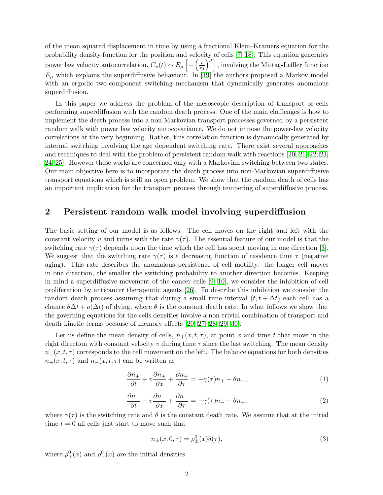of the mean squared displacement in time by using a fractional Klein–Kramers equation for the probability density function for the position and velocity of cells [\[7,](#page-13-1) [18\]](#page-13-12). This equation generates power law velocity autocorrelation,  $C_v(t) \sim E_\mu \left[ - \left( \frac{t}{\tau} \right)$  $\left(\frac{t}{\tau_0}\right)^{\mu}$ , involving the Mittag-Leffler function  $E_{\mu}$  which explains the superdiffusive behaviour. In [\[19\]](#page-13-13) the authors proposed a Markov model with an ergodic two-component switching mechanism that dynamically generates anomalous superdiffusion.

In this paper we address the problem of the mesoscopic description of transport of cells performing superdiffusion with the random death process. One of the main challenges is how to implement the death process into a non-Markovian transport processes governed by a persistent random walk with power law velocity autocovariance. We do not impose the power-law velocity correlations at the very beginning. Rather, this correlation function is dynamically generated by internal switching involving the age dependent switching rate. There exist several approaches and techniques to deal with the problem of persistent random walk with reactions [\[20,](#page-13-14) [21,](#page-13-15) [22,](#page-13-16) [23,](#page-13-17) [24,](#page-14-0) [25\]](#page-14-1). However these works are concerned only with a Markovian switching between two states. Our main objective here is to incorporate the death process into non-Markovian superdiffusive transport equations which is still an open problem. We show that the random death of cells has an important implication for the transport process through tempering of superdiffusive process.

### 2 Persistent random walk model involving superdiffusion

The basic setting of our model is as follows. The cell moves on the right and left with the constant velocity v and turns with the rate  $\gamma(\tau)$ . The essential feature of our model is that the switching rate  $\gamma(\tau)$  depends upon the time which the cell has spent moving in one direction [\[3\]](#page-12-2). We suggest that the switching rate  $\gamma(\tau)$  is a decreasing function of residence time  $\tau$  (negative aging). This rate describes the anomalous persistence of cell motility: the longer cell moves in one direction, the smaller the switching probability to another direction becomes. Keeping in mind a superdiffusive movement of the cancer cells [\[9,](#page-13-3) [10\]](#page-13-4), we consider the inhibition of cell proliferation by anticancer therapeutic agents [\[26\]](#page-14-2). To describe this inhibition we consider the random death process assuming that during a small time interval  $(t, t + \Delta t)$  each cell has a chance  $\theta \Delta t + o(\Delta t)$  of dying, where  $\theta$  is the constant death rate. In what follows we show that the governing equations for the cells densities involve a non-trivial combination of transport and death kinetic terms because of memory effects [\[20,](#page-13-14) [27,](#page-14-3) [28,](#page-14-4) [29,](#page-14-5) [30\]](#page-14-6).

Let us define the mean density of cells,  $n_+(x,t,\tau)$ , at point x and time t that move in the right direction with constant velocity v during time  $\tau$  since the last switching. The mean density  $n_{-}(x, t, \tau)$  corresponds to the cell movement on the left. The balance equations for both densities  $n_{+}(x, t, \tau)$  and  $n_{-}(x, t, \tau)$  can be written as

<span id="page-1-0"></span>
$$
\frac{\partial n_+}{\partial t} + v \frac{\partial n_+}{\partial x} + \frac{\partial n_+}{\partial \tau} = -\gamma(\tau)n_+ - \theta n_+, \tag{1}
$$

<span id="page-1-1"></span>
$$
\frac{\partial n_{-}}{\partial t} - v \frac{\partial n_{-}}{\partial x} + \frac{\partial n_{-}}{\partial \tau} = -\gamma(\tau)n_{-} - \theta n_{-},\tag{2}
$$

where  $\gamma(\tau)$  is the switching rate and  $\theta$  is the constant death rate. We assume that at the initial time  $t = 0$  all cells just start to move such that

<span id="page-1-2"></span>
$$
n_{\pm}(x,0,\tau) = \rho_{\pm}^{0}(x)\delta(\tau),\tag{3}
$$

where  $\rho^0_+(x)$  and  $\rho^0_-(x)$  are the initial densities.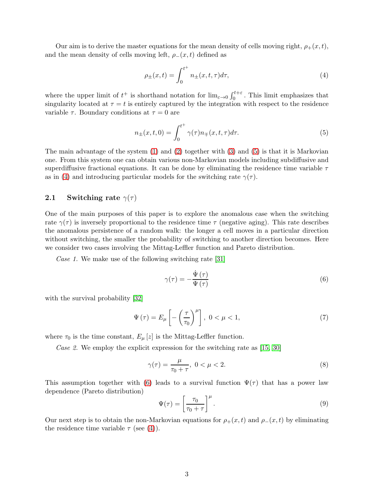Our aim is to derive the master equations for the mean density of cells moving right,  $\rho_+(x,t)$ , and the mean density of cells moving left,  $\rho_-(x,t)$  defined as

<span id="page-2-1"></span>
$$
\rho_{\pm}(x,t) = \int_0^{t^+} n_{\pm}(x,t,\tau)d\tau,
$$
\n(4)

where the upper limit of  $t^+$  is shorthand notation for  $\lim_{\varepsilon \to 0} \int_0^{t+\varepsilon}$ . This limit emphasizes that singularity located at  $\tau = t$  is entirely captured by the integration with respect to the residence variable  $\tau$ . Boundary conditions at  $\tau = 0$  are

<span id="page-2-0"></span>
$$
n_{\pm}(x,t,0) = \int_0^{t^+} \gamma(\tau) n_{\mp}(x,t,\tau) d\tau.
$$
 (5)

The main advantage of the system [\(1\)](#page-1-0) and [\(2\)](#page-1-1) together with [\(3\)](#page-1-2) and [\(5\)](#page-2-0) is that it is Markovian one. From this system one can obtain various non-Markovian models including subdiffusive and superdiffusive fractional equations. It can be done by eliminating the residence time variable  $\tau$ as in [\(4\)](#page-2-1) and introducing particular models for the switching rate  $\gamma(\tau)$ .

### 2.1 Switching rate  $\gamma(\tau)$

One of the main purposes of this paper is to explore the anomalous case when the switching rate  $\gamma(\tau)$  is inversely proportional to the residence time  $\tau$  (negative aging). This rate describes the anomalous persistence of a random walk: the longer a cell moves in a particular direction without switching, the smaller the probability of switching to another direction becomes. Here we consider two cases involving the Mittag-Leffler function and Pareto distribution.

Case 1. We make use of the following switching rate [\[31\]](#page-14-7)

<span id="page-2-2"></span>
$$
\gamma(\tau) = -\frac{\dot{\Psi}(\tau)}{\Psi(\tau)}\tag{6}
$$

with the survival probability [\[32\]](#page-14-8)

<span id="page-2-4"></span>
$$
\Psi\left(\tau\right) = E_{\mu}\left[-\left(\frac{\tau}{\tau_0}\right)^{\mu}\right], \ 0 < \mu < 1,\tag{7}
$$

where  $\tau_0$  is the time constant,  $E_\mu[z]$  is the Mittag-Leffler function.

Case 2. We employ the explicit expression for the switching rate as  $[15, 30]$  $[15, 30]$ 

<span id="page-2-5"></span>
$$
\gamma(\tau) = \frac{\mu}{\tau_0 + \tau}, \ 0 < \mu < 2. \tag{8}
$$

This assumption together with [\(6\)](#page-2-2) leads to a survival function  $\Psi(\tau)$  that has a power law dependence (Pareto distribution)

<span id="page-2-3"></span>
$$
\Psi(\tau) = \left[\frac{\tau_0}{\tau_0 + \tau}\right]^{\mu}.\tag{9}
$$

Our next step is to obtain the non-Markovian equations for  $\rho_{+}(x,t)$  and  $\rho_{-}(x,t)$  by eliminating the residence time variable  $\tau$  (see [\(4\)](#page-2-1)).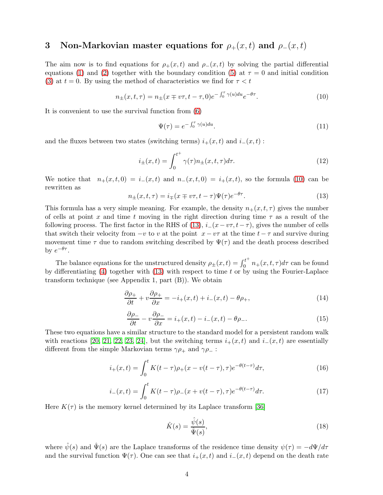# 3 Non-Markovian master equations for  $\rho_+(x,t)$  and  $\rho_-(x,t)$

The aim now is to find equations for  $\rho_+(x,t)$  and  $\rho_-(x,t)$  by solving the partial differential equations [\(1\)](#page-1-0) and [\(2\)](#page-1-1) together with the boundary condition [\(5\)](#page-2-0) at  $\tau = 0$  and initial condition [\(3\)](#page-1-2) at  $t = 0$ . By using the method of characteristics we find for  $\tau < t$ 

<span id="page-3-0"></span>
$$
n_{\pm}(x,t,\tau) = n_{\pm}(x \mp v\tau, t - \tau, 0)e^{-\int_0^{\tau} \gamma(u)du}e^{-\theta\tau}.
$$
 (10)

It is convenient to use the survival function from [\(6\)](#page-2-2)

$$
\Psi(\tau) = e^{-\int_0^{\tau} \gamma(u) du}.\tag{11}
$$

and the fluxes between two states (switching terms)  $i_{+}(x,t)$  and  $i_{-}(x,t)$ :

<span id="page-3-6"></span>
$$
i_{\pm}(x,t) = \int_0^{t^+} \gamma(\tau) n_{\pm}(x,t,\tau) d\tau.
$$
 (12)

We notice that  $n_+(x,t,0) = i_-(x,t)$  and  $n_-(x,t,0) = i_+(x,t)$ , so the formula [\(10\)](#page-3-0) can be rewritten as

<span id="page-3-1"></span>
$$
n_{\pm}(x,t,\tau) = i_{\mp}(x \mp v\tau, t - \tau)\Psi(\tau)e^{-\theta\tau}.
$$
\n(13)

This formula has a very simple meaning. For example, the density  $n_{+}(x, t, \tau)$  gives the number of cells at point x and time t moving in the right direction during time  $\tau$  as a result of the following process. The first factor in the RHS of [\(13\)](#page-3-1),  $i-(x-v\tau, t-\tau)$ , gives the number of cells that switch their velocity from  $-v$  to v at the point  $x - v\tau$  at the time  $t - \tau$  and survive during movement time  $\tau$  due to random switching described by  $\Psi(\tau)$  and the death process described by  $e^{-\theta \tau}$ .

The balance equations for the unstructured density  $\rho_{\pm}(x,t) = \int_0^{t^+}$  $\int_0^{\tau} n_+(x, t, \tau) d\tau$  can be found by differentiating [\(4\)](#page-2-1) together with [\(13\)](#page-3-1) with respect to time t or by using the Fourier-Laplace transform technique (see Appendix 1, part (B)). We obtain

<span id="page-3-4"></span>
$$
\frac{\partial \rho_+}{\partial t} + v \frac{\partial \rho_+}{\partial x} = -i_+(x, t) + i_-(x, t) - \theta \rho_+, \tag{14}
$$

<span id="page-3-5"></span>
$$
\frac{\partial \rho_{-}}{\partial t} - v \frac{\partial \rho_{-}}{\partial x} = i_{+}(x, t) - i_{-}(x, t) - \theta \rho_{-}.
$$
\n(15)

These two equations have a similar structure to the standard model for a persistent random walk with reactions [\[20,](#page-13-14) [21,](#page-13-15) [22,](#page-13-16) [23,](#page-13-17) [24\]](#page-14-0), but the switching terms  $i_+(x,t)$  and  $i_-(x,t)$  are essentially different from the simple Markovian terms  $\gamma \rho_+$  and  $\gamma \rho_-$ :

<span id="page-3-2"></span>
$$
i_{+}(x,t) = \int_{0}^{t} K(t-\tau)\rho_{+}(x-v(t-\tau),\tau)e^{-\theta(t-\tau)}d\tau,
$$
\n(16)

<span id="page-3-3"></span>
$$
i_{-}(x,t) = \int_{0}^{t} K(t-\tau)\rho_{-}(x+v(t-\tau),\tau)e^{-\theta(t-\tau)}d\tau.
$$
 (17)

Here  $K(\tau)$  is the memory kernel determined by its Laplace transform [\[36\]](#page-14-9)

$$
\hat{K}(s) = \frac{\hat{\psi}(s)}{\hat{\Psi}(s)},\tag{18}
$$

where  $\hat{\psi}(s)$  and  $\hat{\Psi}(s)$  are the Laplace transforms of the residence time density  $\psi(\tau) = -d\Psi/d\tau$ and the survival function  $\Psi(\tau)$ . One can see that  $i_{+}(x,t)$  and  $i_{-}(x,t)$  depend on the death rate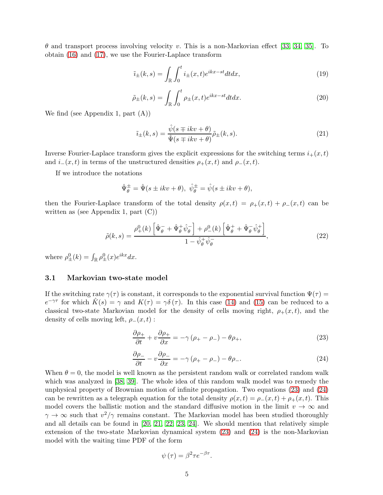$\theta$  and transport process involving velocity v. This is a non-Markovian effect [\[33,](#page-14-10) [34,](#page-14-11) [35\]](#page-14-12). To obtain [\(16\)](#page-3-2) and [\(17\)](#page-3-3), we use the Fourier-Laplace transform

<span id="page-4-3"></span>
$$
\tilde{i}_{\pm}(k,s) = \int_{\mathbb{R}} \int_0^t i_{\pm}(x,t)e^{ikx-st}dtdx,\tag{19}
$$

<span id="page-4-4"></span>
$$
\tilde{\rho}_{\pm}(k,s) = \int_{\mathbb{R}} \int_0^t \rho_{\pm}(x,t) e^{ikx - st} dt dx.
$$
\n(20)

We find (see Appendix 1, part (A))

<span id="page-4-2"></span>
$$
\tilde{i}_{\pm}(k,s) = \frac{\hat{\psi}(s \mp ikv + \theta)}{\hat{\Psi}(s \mp ikv + \theta)} \tilde{\rho}_{\pm}(k,s). \tag{21}
$$

Inverse Fourier-Laplace transform gives the explicit expressions for the switching terms  $i_{+}(x,t)$ and  $i_-(x,t)$  in terms of the unstructured densities  $\rho_+(x,t)$  and  $\rho_-(x,t)$ .

If we introduce the notations

$$
\hat{\Psi}_{\theta}^{\pm} = \hat{\Psi}(s \pm ikv + \theta), \ \hat{\psi}_{\theta}^{\pm} = \hat{\psi}(s \pm ikv + \theta),
$$

then the Fourier-Laplace transform of the total density  $\rho(x,t) = \rho_+(x,t) + \rho_-(x,t)$  can be written as (see Appendix 1, part  $(C)$ )

<span id="page-4-5"></span>
$$
\tilde{\rho}(k,s) = \frac{\rho_+^0(k)\left[\hat{\Psi}_{\theta}^- + \hat{\Psi}_{\theta}^+\hat{\psi}_{\theta}^-\right] + \rho_-^0(k)\left[\hat{\Psi}_{\theta}^+ + \hat{\Psi}_{\theta}^-\hat{\psi}_{\theta}^+\right]}{1 - \hat{\psi}_{\theta}^+\hat{\psi}_{\theta}^-},\tag{22}
$$

where  $\rho^0_{\pm}(k) = \int_{\mathbb{R}} \rho^0_{\pm}(x) e^{ikx} dx$ .

### 3.1 Markovian two-state model

If the switching rate  $\gamma(\tau)$  is constant, it corresponds to the exponential survival function  $\Psi(\tau)$  $e^{-\gamma\tau}$  for which  $\hat{K}(s) = \gamma$  and  $K(\tau) = \gamma \delta(\tau)$ . In this case [\(14\)](#page-3-4) and [\(15\)](#page-3-5) can be reduced to a classical two-state Markovian model for the density of cells moving right,  $\rho_+(x,t)$ , and the density of cells moving left,  $\rho_-(x,t)$ :

<span id="page-4-0"></span>
$$
\frac{\partial \rho_+}{\partial t} + v \frac{\partial \rho_+}{\partial x} = -\gamma \left( \rho_+ - \rho_- \right) - \theta \rho_+, \tag{23}
$$

<span id="page-4-1"></span>
$$
\frac{\partial \rho_{-}}{\partial t} - v \frac{\partial \rho_{-}}{\partial x} = -\gamma \left( \rho_{+} - \rho_{-} \right) - \theta \rho_{-}.
$$
\n(24)

When  $\theta = 0$ , the model is well known as the persistent random walk or correlated random walk which was analyzed in [\[38,](#page-14-13) [39\]](#page-14-14). The whole idea of this random walk model was to remedy the unphysical property of Brownian motion of infinite propagation. Two equations [\(23\)](#page-4-0) and [\(24\)](#page-4-1) can be rewritten as a telegraph equation for the total density  $\rho(x,t) = \rho_-(x,t) + \rho_+(x,t)$ . This model covers the ballistic motion and the standard diffusive motion in the limit  $v \to \infty$  and  $\gamma \to \infty$  such that  $v^2/\gamma$  remains constant. The Markovian model has been studied thoroughly and all details can be found in [\[20,](#page-13-14) [21,](#page-13-15) [22,](#page-13-16) [23,](#page-13-17) [24\]](#page-14-0). We should mention that relatively simple extension of the two-state Markovian dynamical system [\(23\)](#page-4-0) and [\(24\)](#page-4-1) is the non-Markovian model with the waiting time PDF of the form

$$
\psi(\tau) = \beta^2 \tau e^{-\beta \tau}.
$$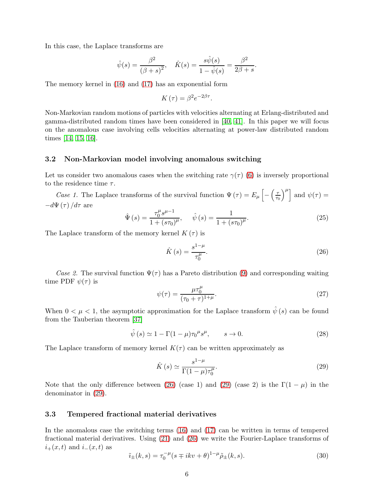In this case, the Laplace transforms are

$$
\hat{\psi}(s) = \frac{\beta^2}{(\beta + s)^2}, \quad \hat{K}(s) = \frac{s\hat{\psi}(s)}{1 - \hat{\psi}(s)} = \frac{\beta^2}{2\beta + s}.
$$

The memory kernel in [\(16\)](#page-3-2) and [\(17\)](#page-3-3) has an exponential form

$$
K(\tau) = \beta^2 e^{-2\beta \tau}.
$$

Non-Markovian random motions of particles with velocities alternating at Erlang-distributed and gamma-distributed random times have been considered in [\[40,](#page-14-15) [41\]](#page-14-16). In this paper we will focus on the anomalous case involving cells velocities alternating at power-law distributed random times [\[14,](#page-13-8) [15,](#page-13-9) [16\]](#page-13-10).

#### 3.2 Non-Markovian model involving anomalous switching

Let us consider two anomalous cases when the switching rate  $\gamma(\tau)$  [\(6\)](#page-2-2) is inversely proportional to the residence time  $\tau$ .

Case 1. The Laplace transforms of the survival function  $\Psi(\tau) = E_{\mu} \left[ - \left( \frac{\tau}{\tau} \right) \right]$  $\left(\frac{\tau}{\tau_0}\right)^{\mu}$  and  $\psi(\tau) =$  $-d\Psi(\tau)/d\tau$  are

$$
\hat{\Psi}(s) = \frac{\tau_0^{\mu} s^{\mu - 1}}{1 + (s\tau_0)^{\mu}}, \quad \hat{\psi}(s) = \frac{1}{1 + (s\tau_0)^{\mu}}.
$$
\n(25)

The Laplace transform of the memory kernel  $K(\tau)$  is

<span id="page-5-0"></span>
$$
\hat{K}(s) = \frac{s^{1-\mu}}{\tau_0^{\mu}}.
$$
\n(26)

Case 2. The survival function  $\Psi(\tau)$  has a Pareto distribution [\(9\)](#page-2-3) and corresponding waiting time PDF  $\psi(\tau)$  is

$$
\psi(\tau) = \frac{\mu \tau_0^{\mu}}{(\tau_0 + \tau)^{1+\mu}}.
$$
\n(27)

When  $0 < \mu < 1$ , the asymptotic approximation for the Laplace transform  $\hat{\psi}(s)$  can be found from the Tauberian theorem [\[37\]](#page-14-17)

<span id="page-5-3"></span>
$$
\hat{\psi}(s) \simeq 1 - \Gamma(1 - \mu)\tau_0^{\mu} s^{\mu}, \qquad s \to 0. \tag{28}
$$

The Laplace transform of memory kernel  $K(\tau)$  can be written approximately as

<span id="page-5-1"></span>
$$
\hat{K}\left(s\right) \simeq \frac{s^{1-\mu}}{\Gamma(1-\mu)\tau_0^{\mu}}.\tag{29}
$$

Note that the only difference between [\(26\)](#page-5-0) (case 1) and [\(29\)](#page-5-1) (case 2) is the  $\Gamma(1-\mu)$  in the denominator in [\(29\)](#page-5-1).

#### 3.3 Tempered fractional material derivatives

In the anomalous case the switching terms [\(16\)](#page-3-2) and [\(17\)](#page-3-3) can be written in terms of tempered fractional material derivatives. Using [\(21\)](#page-4-2) and [\(26\)](#page-5-0) we write the Fourier-Laplace transforms of  $i_{+}(x, t)$  and  $i_{-}(x, t)$  as

<span id="page-5-2"></span>
$$
\tilde{i}_{\pm}(k,s) = \tau_0^{-\mu}(s \mp ikv + \theta)^{1-\mu}\tilde{\rho}_{\pm}(k,s).
$$
\n(30)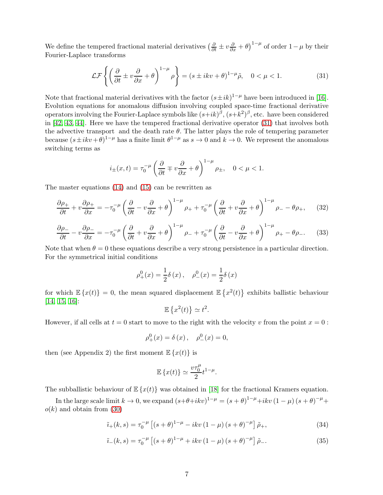We define the tempered fractional material derivatives  $\left(\frac{\partial}{\partial t} \pm v \frac{\partial}{\partial x} + \theta\right)^{1-\mu}$  of order  $1-\mu$  by their Fourier-Laplace transforms

<span id="page-6-0"></span>
$$
\mathcal{LF}\left\{ \left( \frac{\partial}{\partial t} \pm v \frac{\partial}{\partial x} + \theta \right)^{1-\mu} \rho \right\} = (s \pm ikv + \theta)^{1-\mu} \tilde{\rho}, \quad 0 < \mu < 1. \tag{31}
$$

Note that fractional material derivatives with the factor  $(s \pm ik)^{1-\mu}$  have been introduced in [\[16\]](#page-13-10). Evolution equations for anomalous diffusion involving coupled space-time fractional derivative operators involving the Fourier-Laplace symbols like  $(s+ik)^{\beta}$ ,  $(s+k^2)^{\beta}$ , etc. have been considered in [\[42,](#page-15-0) [43,](#page-15-1) [44\]](#page-15-2). Here we have the tempered fractional derivative operator [\(31\)](#page-6-0) that involves both the advective transport and the death rate  $\theta$ . The latter plays the role of tempering parameter because  $(s \pm ikv + \theta)^{1-\mu}$  has a finite limit  $\theta^{1-\mu}$  as  $s \to 0$  and  $k \to 0$ . We represent the anomalous switching terms as

$$
i_{\pm}(x,t) = \tau_0^{-\mu} \left( \frac{\partial}{\partial t} \mp v \frac{\partial}{\partial x} + \theta \right)^{1-\mu} \rho_{\pm}, \quad 0 < \mu < 1.
$$

The master equations [\(14\)](#page-3-4) and [\(15\)](#page-3-5) can be rewritten as

<span id="page-6-1"></span>
$$
\frac{\partial \rho_+}{\partial t} + v \frac{\partial \rho_+}{\partial x} = -\tau_0^{-\mu} \left( \frac{\partial}{\partial t} - v \frac{\partial}{\partial x} + \theta \right)^{1-\mu} \rho_+ + \tau_0^{-\mu} \left( \frac{\partial}{\partial t} + v \frac{\partial}{\partial x} + \theta \right)^{1-\mu} \rho_- - \theta \rho_+, \tag{32}
$$

<span id="page-6-2"></span>
$$
\frac{\partial \rho_{-}}{\partial t} - v \frac{\partial \rho_{-}}{\partial x} = -\tau_{0}^{-\mu} \left( \frac{\partial}{\partial t} + v \frac{\partial}{\partial x} + \theta \right)^{1-\mu} \rho_{-} + \tau_{0}^{-\mu} \left( \frac{\partial}{\partial t} - v \frac{\partial}{\partial x} + \theta \right)^{1-\mu} \rho_{+} - \theta \rho_{-}.
$$
 (33)

Note that when  $\theta = 0$  these equations describe a very strong persistence in a particular direction. For the symmetrical initial conditions

$$
\rho_{+}^{0}(x) = \frac{1}{2}\delta(x), \quad \rho_{-}^{0}(x) = \frac{1}{2}\delta(x)
$$

for which  $\mathbb{E}\left\{x(t)\right\} = 0$ , the mean squared displacement  $\mathbb{E}\left\{x^2(t)\right\}$  exhibits ballistic behaviour [\[14,](#page-13-8) [15,](#page-13-9) [16\]](#page-13-10):

$$
\mathbb{E}\left\{x^2(t)\right\} \simeq t^2.
$$

However, if all cells at  $t = 0$  start to move to the right with the velocity v from the point  $x = 0$ :

$$
\rho_{+}^{0}(x) = \delta(x), \quad \rho_{-}^{0}(x) = 0,
$$

then (see Appendix 2) the first moment  $\mathbb{E}\left\{x(t)\right\}$  is

$$
\mathbb{E}\left\{x(t)\right\} \simeq \frac{v\tau_0^{\mu}}{2}t^{1-\mu}.
$$

The subballistic behaviour of  $\mathbb{E}\left\{x(t)\right\}$  was obtained in [\[18\]](#page-13-12) for the fractional Kramers equation.

In the large scale limit  $k \to 0$ , we expand  $(s+\theta+ikv)^{1-\mu} = (s+\theta)^{1-\mu}+ikv(1-\mu)(s+\theta)^{-\mu}+$  $o(k)$  and obtain from [\(30\)](#page-5-2)

$$
\tilde{i}_{+}(k,s) = \tau_0^{-\mu} \left[ (s+\theta)^{1-\mu} - ikv (1-\mu) (s+\theta)^{-\mu} \right] \tilde{\rho}_{+},
$$
\n(34)

$$
\tilde{\iota}_{-}(k,s) = \tau_0^{-\mu} \left[ (s+\theta)^{1-\mu} + ikv (1-\mu) (s+\theta)^{-\mu} \right] \tilde{\rho}_{-}.
$$
 (35)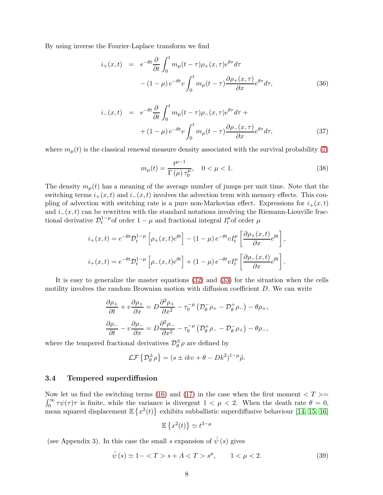By using inverse the Fourier-Laplace transform we find

$$
i_{+}(x,t) = e^{-\theta t} \frac{\partial}{\partial t} \int_{0}^{t} m_{\mu}(t-\tau) \rho_{+}(x,\tau) e^{\theta \tau} d\tau - (1-\mu) e^{-\theta t} v \int_{0}^{t} m_{\mu}(t-\tau) \frac{\partial \rho_{+}(x,\tau)}{\partial x} e^{\theta \tau} d\tau,
$$
(36)

$$
i_{-}(x,t) = e^{-\theta t} \frac{\partial}{\partial t} \int_{0}^{t} m_{\mu}(t-\tau) \rho_{-}(x,\tau) e^{\theta \tau} d\tau + (1-\mu) e^{-\theta t} v \int_{0}^{t} m_{\mu}(t-\tau) \frac{\partial \rho_{-}(x,\tau)}{\partial x} e^{\theta \tau} d\tau,
$$
\n(37)

where  $m_{\mu}(t)$  is the classical renewal measure density associated with the survival probability [\(7\)](#page-2-4)

$$
m_{\mu}(t) = \frac{t^{\mu-1}}{\Gamma(\mu)\,\tau_0^{\mu}}, \quad 0 < \mu < 1. \tag{38}
$$

The density  $m_{\mu}(t)$  has a meaning of the average number of jumps per unit time. Note that the switching terms  $i_{+}(x,t)$  and  $i_{-}(x,t)$  involves the advection term with memory effects. This coupling of advection with switching rate is a pure non-Markovian effect. Expressions for  $i_{+}(x,t)$ and  $i_-(x,t)$  can be rewritten with the standard notations involving the Riemann-Liouville fractional derivative  $\mathcal{D}_t^{1-\mu}$  $t_t^{1-\mu}$  of order  $1-\mu$  and fractional integral  $I_t^{\mu}$  $\mu_t^{\mu}$ of order  $\mu$ 

$$
i_{+}(x,t) = e^{-\theta t} \mathcal{D}_{t}^{1-\mu} \left[ \rho_{+}(x,t) e^{\theta t} \right] - (1-\mu) e^{-\theta t} v I_{t}^{\mu} \left[ \frac{\partial \rho_{+}(x,t)}{\partial x} e^{\theta t} \right],
$$
  

$$
i_{+}(x,t) = e^{-\theta t} \mathcal{D}_{t}^{1-\mu} \left[ \rho_{-}(x,t) e^{\theta t} \right] + (1-\mu) e^{-\theta t} v I_{t}^{\mu} \left[ \frac{\partial \rho_{-}(x,t)}{\partial x} e^{\theta t} \right].
$$

It is easy to generalize the master equations [\(32\)](#page-6-1) and [\(33\)](#page-6-2) for the situation when the cells motility involves the random Brownian motion with diffusion coefficient D. We can write

$$
\frac{\partial \rho_{+}}{\partial t} + v \frac{\partial \rho_{+}}{\partial x} = D \frac{\partial^2 \rho_{+}}{\partial x^2} - \tau_0^{-\mu} \left( \mathcal{D}_{\theta}^{-} \rho_{+} - \mathcal{D}_{\theta}^{+} \rho_{-} \right) - \theta \rho_{+},
$$

$$
\frac{\partial \rho_{-}}{\partial t} - v \frac{\partial \rho_{-}}{\partial x} = D \frac{\partial^2 \rho_{-}}{\partial x^2} - \tau_0^{-\mu} \left( \mathcal{D}_{\theta}^{+} \rho_{-} - \mathcal{D}_{\theta}^{-} \rho_{+} \right) - \theta \rho_{-},
$$

where the tempered fractional derivatives  $\mathcal{D}_{\theta}^{\pm} \rho$  are defined by

$$
\mathcal{LF}\left\{\mathcal{D}_{\theta}^{\pm}\rho\right\} = (s \pm ikv + \theta - Dk^2)^{1-\mu}\tilde{\rho}.
$$

### 3.4 Tempered superdiffusion

Now let us find the switching terms [\(16\)](#page-3-2) and [\(17\)](#page-3-3) in the case when the first moment  $\langle T \rangle$  =  $\int_0^\infty \tau \psi(\tau) \tau$  is finite, while the variance is divergent  $1 < \mu < 2$ . When the death rate  $\theta = 0$ , mean squared displacement  $\mathbb{E}\left\{x^2(t)\right\}$  exhibits subballistic superdiffusive behaviour [\[14,](#page-13-8) [15,](#page-13-9) [16\]](#page-13-10)

$$
\mathbb{E}\left\{x^2(t)\right\} \simeq t^{3-\mu}
$$

(see Appendix 3). In this case the small s expansion of  $\hat{\psi}(s)$  gives

$$
\hat{\psi}(s) \simeq 1 - \langle T > s + A < T > s^{\mu}, \qquad 1 < \mu < 2. \tag{39}
$$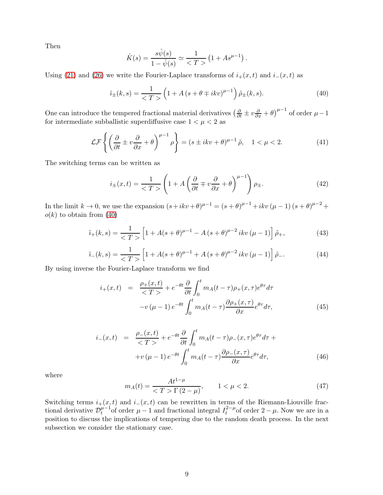Then

$$
\hat{K}(s) = \frac{s\hat{\psi}(s)}{1 - \hat{\psi}(s)} \simeq \frac{1}{\langle s, T \rangle} \left(1 + A s^{\mu - 1}\right).
$$

Using [\(21\)](#page-4-2) and [\(26\)](#page-5-0) we write the Fourier-Laplace transforms of  $i_{+}(x,t)$  and  $i_{-}(x,t)$  as

<span id="page-8-0"></span>
$$
\tilde{i}_{\pm}(k,s) = \frac{1}{\langle T \rangle} \left( 1 + A \left( s + \theta \mp ikv \right)^{\mu - 1} \right) \tilde{\rho}_{\pm}(k,s). \tag{40}
$$

One can introduce the tempered fractional material derivatives  $\left(\frac{\partial}{\partial t} \pm v \frac{\partial}{\partial x} + \theta\right)^{\mu-1}$  of order  $\mu - 1$ for intermediate subballistic superdiffusive case  $1 < \mu < 2$  as

$$
\mathcal{LF}\left\{ \left( \frac{\partial}{\partial t} \pm v \frac{\partial}{\partial x} + \theta \right)^{\mu - 1} \rho \right\} = (s \pm ikv + \theta)^{\mu - 1} \tilde{\rho}, \quad 1 < \mu < 2. \tag{41}
$$

The switching terms can be written as

$$
i_{\pm}(x,t) = \frac{1}{\langle T \rangle} \left( 1 + A \left( \frac{\partial}{\partial t} \mp v \frac{\partial}{\partial x} + \theta \right)^{\mu - 1} \right) \rho_{\pm}.
$$
 (42)

In the limit  $k \to 0$ , we use the expansion  $(s+ikv+\theta)^{\mu-1} = (s+\theta)^{\mu-1} + ikv(\mu-1)(s+\theta)^{\mu-2} +$  $o(k)$  to obtain from  $(40)$ 

$$
\tilde{i}_{+}(k,s) = \frac{1}{\langle T \rangle} \left[ 1 + A(s+\theta)^{\mu-1} - A(s+\theta)^{\mu-2} \, i k v \, (\mu-1) \right] \tilde{\rho}_{+},\tag{43}
$$

$$
\tilde{i}_{-}(k,s) = \frac{1}{\langle T \rangle} \left[ 1 + A(s+\theta)^{\mu-1} + A(s+\theta)^{\mu-2} \, i k v \, (\mu-1) \right] \tilde{\rho}_{-}.
$$
\n(44)

By using inverse the Fourier-Laplace transform we find

$$
i_{+}(x,t) = \frac{\rho_{+}(x,t)}{} + e^{-\theta t} \frac{\partial}{\partial t} \int_{0}^{t} m_{A}(t-\tau)\rho_{+}(x,\tau)e^{\theta\tau}d\tau
$$

$$
-v(\mu-1)e^{-\theta t} \int_{0}^{t} m_{A}(t-\tau)\frac{\partial \rho_{+}(x,\tau)}{\partial x}e^{\theta\tau}d\tau,
$$
(45)

$$
i_{-}(x,t) = \frac{\rho_{-}(x,t)}{} + e^{-\theta t} \frac{\partial}{\partial t} \int_{0}^{t} m_{A}(t-\tau)\rho_{-}(x,\tau)e^{\theta\tau}d\tau +
$$
  
+ 
$$
+v(\mu-1)e^{-\theta t} \int_{0}^{t} m_{A}(t-\tau)\frac{\partial \rho_{-}(x,\tau)}{\partial x}e^{\theta\tau}d\tau,
$$
 (46)

where

$$
m_A(t) = \frac{At^{1-\mu}}{t^2 + 1} \quad 1 < \mu < 2. \tag{47}
$$

Switching terms  $i_{+}(x,t)$  and  $i_{-}(x,t)$  can be rewritten in terms of the Riemann-Liouville fractional derivative  $\mathcal{D}_t^{\mu-1}$  $\mu^{-1}_{t}$  of order  $\mu - 1$  and fractional integral  $I_t^{2-\mu}$  $t^{2-\mu}$  of order  $2-\mu$ . Now we are in a position to discuss the implications of tempering due to the random death process. In the next subsection we consider the stationary case.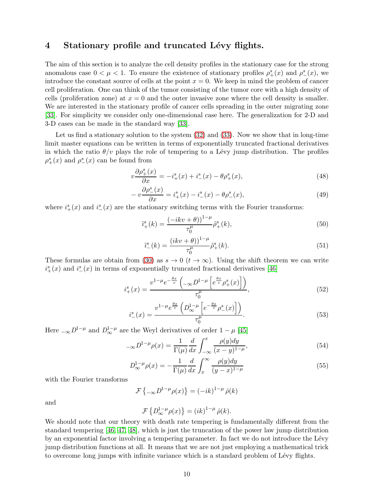## 4 Stationary profile and truncated Lévy flights.

The aim of this section is to analyze the cell density profiles in the stationary case for the strong anomalous case  $0 < \mu < 1$ . To ensure the existence of stationary profiles  $\rho^s_+(x)$  and  $\rho^s_-(x)$ , we introduce the constant source of cells at the point  $x = 0$ . We keep in mind the problem of cancer cell proliferation. One can think of the tumor consisting of the tumor core with a high density of cells (proliferation zone) at  $x = 0$  and the outer invasive zone where the cell density is smaller. We are interested in the stationary profile of cancer cells spreading in the outer migrating zone [\[33\]](#page-14-10). For simplicity we consider only one-dimensional case here. The generalization for 2-D and 3-D cases can be made in the standard way [\[33\]](#page-14-10).

Let us find a stationary solution to the system  $(32)$  and  $(33)$ . Now we show that in long-time limit master equations can be written in terms of exponentially truncated fractional derivatives in which the ratio  $\theta/v$  plays the role of tempering to a Lévy jump distribution. The profiles  $\rho^s_+(x)$  and  $\rho^s_-(x)$  can be found from

<span id="page-9-2"></span>
$$
v\frac{\partial \rho_{+}^{s}(x)}{\partial x} = -i_{+}^{s}(x) + i_{-}^{s}(x) - \theta \rho_{+}^{s}(x), \tag{48}
$$

<span id="page-9-3"></span>
$$
-v\frac{\partial \rho_{-}^{s}(x)}{\partial x} = i_{+}^{s}(x) - i_{-}^{s}(x) - \theta \rho_{-}^{s}(x), \qquad (49)
$$

where  $i_{+}^{s}(x)$  and  $i_{-}^{s}(x)$  are the stationary switching terms with the Fourier transforms:

<span id="page-9-0"></span>
$$
\tilde{i}_{+}^{s}(k) = \frac{(-ikv + \theta) \cdot 1^{-\mu}}{\tau_0^{\mu}} \tilde{\rho}_{+}^{s}(k),\tag{50}
$$

<span id="page-9-1"></span>
$$
\tilde{i}^{s}_{-}(k) = \frac{(ikv + \theta))^{1-\mu}}{\tau_0^{\mu}} \tilde{\rho}^{s}_{+}(k). \tag{51}
$$

These formulas are obtain from [\(30\)](#page-5-2) as  $s \to 0$  ( $t \to \infty$ ). Using the shift theorem we can write  $i_{+}^{s}(x)$  and  $i_{-}^{s}(x)$  in terms of exponentially truncated fractional derivatives [\[46\]](#page-15-3)

$$
i_{+}^{s}(x) = \frac{v^{1-\mu}e^{-\frac{\theta x}{v}}\left(-\infty D^{1-\mu}\left[e^{\frac{\theta x}{v}}\rho_{+}^{s}(x)\right]\right)}{\tau_{0}^{\mu}},\tag{52}
$$

$$
i_{-}^{s}(x) = \frac{v^{1-\mu}e^{\frac{\theta x}{v}}\left(D_{\infty}^{1-\mu}\left[e^{-\frac{\theta x}{v}}\rho_{-}^{s}(x)\right]\right)}{\tau_{0}^{\mu}}.
$$
\n(53)

Here  $_{-\infty}D^{1-\mu}$  and  $D^{1-\mu}_{\infty}$  are the Weyl derivatives of order  $1-\mu$  [\[45\]](#page-15-4)

$$
-\infty D^{1-\mu}\rho(x) = \frac{1}{\Gamma(\mu)} \frac{d}{dx} \int_{-\infty}^{x} \frac{\rho(y)dy}{(x-y)^{1-\mu}},
$$
\n(54)

$$
D_{\infty}^{1-\mu}\rho(x) = -\frac{1}{\Gamma(\mu)}\frac{d}{dx}\int_{x}^{\infty}\frac{\rho(y)dy}{(y-x)^{1-\mu}}
$$
(55)

with the Fourier transforms

$$
\mathcal{F}\left\{-\infty D^{1-\mu}\rho(x)\right\} = (-ik)^{1-\mu}\hat{\rho}(k)
$$

and

$$
\mathcal{F}\left\{D_{\infty}^{1-\mu}\rho(x)\right\}=(ik)^{1-\mu}\,\hat{\rho}(k).
$$

We should note that our theory with death rate tempering is fundamentally different from the standard tempering [\[46,](#page-15-3) [47,](#page-15-5) [48\]](#page-15-6), which is just the truncation of the power law jump distribution by an exponential factor involving a tempering parameter. In fact we do not introduce the Lévy jump distribution functions at all. It means that we are not just employing a mathematical trick to overcome long jumps with infinite variance which is a standard problem of Lévy flights.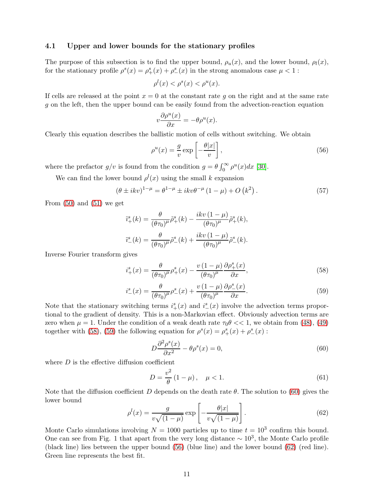### 4.1 Upper and lower bounds for the stationary profiles

The purpose of this subsection is to find the upper bound,  $\rho_u(x)$ , and the lower bound,  $\rho_l(x)$ , for the stationary profile  $\rho^s(x) = \rho^s_+(x) + \rho^s_-(x)$  in the strong anomalous case  $\mu < 1$ :

$$
\rho^l(x) < \rho^s(x) < \rho^u(x).
$$

If cells are released at the point  $x = 0$  at the constant rate g on the right and at the same rate g on the left, then the upper bound can be easily found from the advection-reaction equation

$$
v\frac{\partial \rho^u(x)}{\partial x} = -\theta \rho^u(x).
$$

Clearly this equation describes the ballistic motion of cells without switching. We obtain

<span id="page-10-3"></span>
$$
\rho^u(x) = \frac{g}{v} \exp\left[-\frac{\theta|x|}{v}\right],\tag{56}
$$

where the prefactor  $g/v$  is found from the condition  $g = \theta \int_0^\infty \rho^u(x) dx$  [\[30\]](#page-14-6).

We can find the lower bound  $\rho^{l}(x)$  using the small k expansion

$$
(\theta \pm ikv)^{1-\mu} = \theta^{1-\mu} \pm ikv \theta^{-\mu} (1-\mu) + O(k^2).
$$
 (57)

From  $(50)$  and  $(51)$  we get

$$
\tilde{i}_{+}^{s}(k) = \frac{\theta}{(\theta \tau_{0})^{\mu}} \tilde{\rho}_{+}^{s}(k) - \frac{ikv (1 - \mu)}{(\theta \tau_{0})^{\mu}} \tilde{\rho}_{+}^{s}(k),
$$

$$
\tilde{i}_{-}^{s}(k) = \frac{\theta}{(\theta \tau_{0})^{\mu}} \tilde{\rho}_{-}^{s}(k) + \frac{ikv (1 - \mu)}{(\theta \tau_{0})^{\mu}} \tilde{\rho}_{-}^{s}(k).
$$

Inverse Fourier transform gives

<span id="page-10-0"></span>
$$
i_{+}^{s}(x) = \frac{\theta}{(\theta \tau_{0})^{\mu}} \rho_{+}^{s}(x) - \frac{v(1-\mu)}{(\theta \tau_{0})^{\mu}} \frac{\partial \rho_{+}^{s}(x)}{\partial x},
$$
\n(58)

<span id="page-10-1"></span>
$$
i_{-}^{s}(x) = \frac{\theta}{(\theta \tau_0)^{\mu}} \rho_{-}^{s}(x) + \frac{v(1-\mu)}{(\theta \tau_0)^{\mu}} \frac{\partial \rho_{-}^{s}(x)}{\partial x}.
$$
\n
$$
(59)
$$

Note that the stationary switching terms  $i_{+}^{s}(x)$  and  $i_{-}^{s}(x)$  involve the advection terms proportional to the gradient of density. This is a non-Markovian effect. Obviously advection terms are zero when  $\mu = 1$ . Under the condition of a weak death rate  $\tau_0 \theta \ll 1$ , we obtain from [\(48\)](#page-9-2), [\(49\)](#page-9-3) together with [\(58\)](#page-10-0), [\(59\)](#page-10-1) the following equation for  $\rho^{s}(x) = \rho_{+}^{s}(x) + \rho_{-}^{s}(x)$ :

<span id="page-10-2"></span>
$$
D\frac{\partial^2 \rho^s(x)}{\partial x^2} - \theta \rho^s(x) = 0,\tag{60}
$$

where  $D$  is the effective diffusion coefficient

$$
D = \frac{v^2}{\theta} (1 - \mu), \quad \mu < 1.
$$
 (61)

Note that the diffusion coefficient D depends on the death rate  $\theta$ . The solution to [\(60\)](#page-10-2) gives the lower bound

<span id="page-10-4"></span>
$$
\rho^l(x) = \frac{g}{v\sqrt{(1-\mu)}} \exp\left[-\frac{\theta|x|}{v\sqrt{(1-\mu)}}\right].\tag{62}
$$

Monte Carlo simulations involving  $N = 1000$  particles up to time  $t = 10<sup>3</sup>$  confirm this bound. One can see from Fig. 1 that apart from the very long distance  $\sim 10^3$ , the Monte Carlo profile (black line) lies between the upper bound [\(56\)](#page-10-3) (blue line) and the lower bound [\(62\)](#page-10-4) (red line). Green line represents the best fit.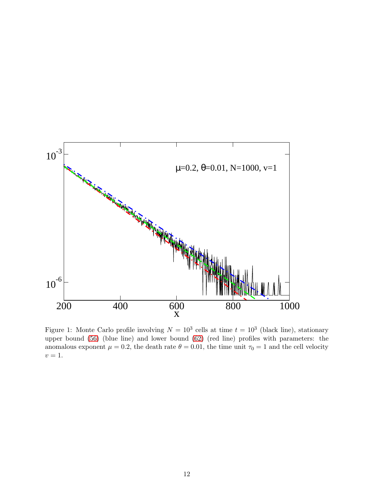

Figure 1: Monte Carlo profile involving  $N = 10^3$  cells at time  $t = 10^3$  (black line), stationary upper bound [\(56\)](#page-10-3) (blue line) and lower bound [\(62\)](#page-10-4) (red line) profiles with parameters: the anomalous exponent  $\mu = 0.2$ , the death rate  $\theta = 0.01$ , the time unit  $\tau_0 = 1$  and the cell velocity  $\upsilon$  = 1.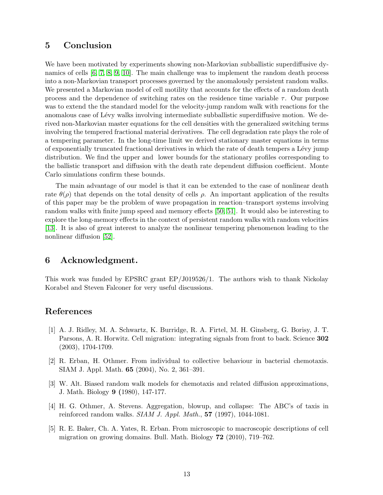# 5 Conclusion

We have been motivated by experiments showing non-Markovian subballistic superdiffusive dynamics of cells [\[6,](#page-13-0) [7,](#page-13-1) [8,](#page-13-2) [9,](#page-13-3) [10\]](#page-13-4). The main challenge was to implement the random death process into a non-Markovian transport processes governed by the anomalously persistent random walks. We presented a Markovian model of cell motility that accounts for the effects of a random death process and the dependence of switching rates on the residence time variable  $\tau$ . Our purpose was to extend the the standard model for the velocity-jump random walk with reactions for the anomalous case of Lévy walks involving intermediate subballistic superdiffusive motion. We derived non-Markovian master equations for the cell densities with the generalized switching terms involving the tempered fractional material derivatives. The cell degradation rate plays the role of a tempering parameter. In the long-time limit we derived stationary master equations in terms of exponentially truncated fractional derivatives in which the rate of death tempers a L´evy jump distribution. We find the upper and lower bounds for the stationary profiles corresponding to the ballistic transport and diffusion with the death rate dependent diffusion coefficient. Monte Carlo simulations confirm these bounds.

The main advantage of our model is that it can be extended to the case of nonlinear death rate  $\theta(\rho)$  that depends on the total density of cells  $\rho$ . An important application of the results of this paper may be the problem of wave propagation in reaction–transport systems involving random walks with finite jump speed and memory effects [\[50,](#page-15-7) [51\]](#page-15-8). It would also be interesting to explore the long-memory effects in the context of persistent random walks with random velocities [\[13\]](#page-13-7). It is also of great interest to analyze the nonlinear tempering phenomenon leading to the nonlinear diffusion [\[52\]](#page-15-9).

## 6 Acknowledgment.

This work was funded by EPSRC grant EP/J019526/1. The authors wish to thank Nickolay Korabel and Steven Falconer for very useful discussions.

## <span id="page-12-0"></span>References

- [1] A. J. Ridley, M. A. Schwartz, K. Burridge, R. A. Firtel, M. H. Ginsberg, G. Borisy, J. T. Parsons, A. R. Horwitz. Cell migration: integrating signals from front to back. Science 302 (2003), 1704-1709.
- <span id="page-12-1"></span>[2] R. Erban, H. Othmer. From individual to collective behaviour in bacterial chemotaxis. SIAM J. Appl. Math. 65 (2004), No. 2, 361–391.
- <span id="page-12-2"></span>[3] W. Alt. Biased random walk models for chemotaxis and related diffusion approximations, J. Math. Biology 9 (1980), 147-177.
- <span id="page-12-3"></span>[4] H. G. Othmer, A. Stevens. Aggregation, blowup, and collapse: The ABC's of taxis in reinforced random walks.  $SIAM J. Appl. Math., 57 (1997), 1044-1081.$
- <span id="page-12-4"></span>[5] R. E. Baker, Ch. A. Yates, R. Erban. From microscopic to macroscopic descriptions of cell migration on growing domains. Bull. Math. Biology 72 (2010), 719–762.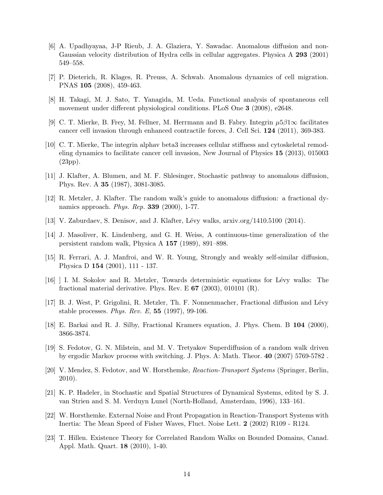- <span id="page-13-0"></span>[6] A. Upadhyayaa, J-P Rieub, J. A. Glaziera, Y. Sawadac. Anomalous diffusion and non-Gaussian velocity distribution of Hydra cells in cellular aggregates. Physica A 293 (2001) 549–558.
- <span id="page-13-2"></span><span id="page-13-1"></span>[7] P. Dieterich, R. Klages, R. Preuss, A. Schwab. Anomalous dynamics of cell migration. PNAS 105 (2008), 459-463.
- <span id="page-13-3"></span>[8] H. Takagi, M. J. Sato, T. Yanagida, M. Ueda. Functional analysis of spontaneous cell movement under different physiological conditions. PLoS One 3 (2008), e2648.
- <span id="page-13-4"></span>[9] C. T. Mierke, B. Frey, M. Fellner, M. Herrmann and B. Fabry. Integrin  $\mu 5\beta 1\infty$  facilitates cancer cell invasion through enhanced contractile forces, J. Cell Sci. 124 (2011), 369-383.
- [10] C. T. Mierke, The integrin alphav beta3 increases cellular stiffness and cytoskeletal remodeling dynamics to facilitate cancer cell invasion, New Journal of Physics 15 (2013), 015003 (23pp).
- <span id="page-13-6"></span><span id="page-13-5"></span>[11] J. Klafter, A. Blumen, and M. F. Shlesinger, Stochastic pathway to anomalous diffusion, Phys. Rev. A 35 (1987), 3081-3085.
- <span id="page-13-7"></span>[12] R. Metzler, J. Klafter. The random walk's guide to anomalous diffusion: a fractional dynamics approach. *Phys. Rep.* **339** (2000), 1-77.
- <span id="page-13-8"></span>[13] V. Zaburdaev, S. Denisov, and J. Klafter, L´evy walks, arxiv.org/1410.5100 (2014).
- [14] J. Masoliver, K. Lindenberg, and G. H. Weiss, A continuous-time generalization of the persistent random walk, Physica A 157 (1989), 891–898.
- <span id="page-13-9"></span>[15] R. Ferrari, A. J. Manfroi, and W. R. Young, Strongly and weakly self-similar diffusion, Physica D 154 (2001), 111 - 137.
- <span id="page-13-10"></span>[16] ] I. M. Sokolov and R. Metzler, Towards deterministic equations for L´evy walks: The fractional material derivative. Phys. Rev. E  $67$  (2003), 010101 (R).
- <span id="page-13-11"></span>[17] B. J. West, P. Grigolini, R. Metzler, Th. F. Nonnenmacher, Fractional diffusion and Lévy stable processes. Phys. Rev. E,  $55$  (1997), 99-106.
- <span id="page-13-13"></span><span id="page-13-12"></span>[18] E. Barkai and R. J. Silby, Fractional Kramers equation, J. Phys. Chem. B 104 (2000), 3866-3874.
- [19] S. Fedotov, G. N. Milstein, and M. V. Tretyakov Superdiffusion of a random walk driven by ergodic Markov process with switching. J. Phys. A: Math. Theor. 40 (2007) 5769-5782 .
- <span id="page-13-14"></span>[20] V. Mendez, S. Fedotov, and W. Horsthemke, Reaction-Transport Systems (Springer, Berlin, 2010).
- <span id="page-13-15"></span>[21] K. P. Hadeler, in Stochastic and Spatial Structures of Dynamical Systems, edited by S. J. van Strien and S. M. Verduyn Lunel (North-Holland, Amsterdam, 1996), 133–161.
- <span id="page-13-17"></span><span id="page-13-16"></span>[22] W. Horsthemke. External Noise and Front Propagation in Reaction-Transport Systems with Inertia: The Mean Speed of Fisher Waves, Fluct. Noise Lett. 2 (2002) R109 - R124.
- [23] T. Hillen. Existence Theory for Correlated Random Walks on Bounded Domains, Canad. Appl. Math. Quart. 18 (2010), 1-40.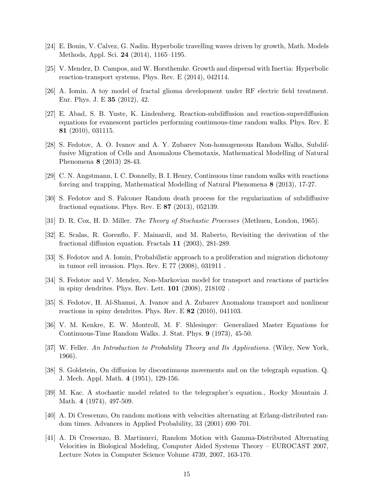- <span id="page-14-1"></span><span id="page-14-0"></span>[24] E. Bouin, V. Calvez, G. Nadin. Hyperbolic travelling waves driven by growth, Math. Models Methods, Appl. Sci. 24 (2014), 1165–1195.
- <span id="page-14-2"></span>[25] V. Mendez, D. Campos, and W. Horsthemke. Growth and dispersal with Inertia: Hyperbolic reaction-transport systems, Phys. Rev. E (2014), 042114.
- <span id="page-14-3"></span>[26] A. Iomin. A toy model of fractal glioma development under RF electric field treatment. Eur. Phys. J. E 35 (2012), 42.
- [27] E. Abad, S. B. Yuste, K. Lindenberg. Reaction-subdiffusion and reaction-superdiffusion equations for evanescent particles performing continuous-time random walks. Phys. Rev. E 81 (2010), 031115.
- <span id="page-14-4"></span>[28] S. Fedotov, A. O. Ivanov and A. Y. Zubarev Non-homogeneous Random Walks, Subdiffusive Migration of Cells and Anomalous Chemotaxis, Mathematical Modelling of Natural Phenomena 8 (2013) 28-43.
- <span id="page-14-6"></span><span id="page-14-5"></span>[29] C. N. Angstmann, I. C. Donnelly, B. I. Henry, Continuous time random walks with reactions forcing and trapping, Mathematical Modelling of Natural Phenomena 8 (2013), 17-27.
- <span id="page-14-7"></span>[30] S. Fedotov and S. Falconer Random death process for the regularization of subdiffusive fractional equations. Phys. Rev. E 87 (2013), 052139.
- <span id="page-14-8"></span>[31] D. R. Cox, H. D. Miller. The Theory of Stochastic Processes (Methuen, London, 1965).
- [32] E. Scalas, R. Gorenflo, F. Mainardi, and M. Raberto, Revisiting the derivation of the fractional diffusion equation. Fractals 11 (2003), 281-289.
- <span id="page-14-10"></span>[33] S. Fedotov and A. Iomin, Probabilistic approach to a proliferation and migration dichotomy in tumor cell invasion. Phys. Rev. E 77 (2008), 031911 .
- <span id="page-14-11"></span>[34] S. Fedotov and V. Mendez, Non-Markovian model for transport and reactions of particles in spiny dendrites. Phys. Rev. Lett. 101 (2008), 218102 .
- <span id="page-14-12"></span>[35] S. Fedotov, H. Al-Shamsi, A. Ivanov and A. Zubarev Anomalous transport and nonlinear reactions in spiny dendrites. Phys. Rev. E 82 (2010), 041103.
- <span id="page-14-17"></span><span id="page-14-9"></span>[36] V. M. Kenkre, E. W. Montroll, M. F. Shlesinger: Generalized Master Equations for Continuous-Time Random Walks. J. Stat. Phys. 9 (1973), 45-50.
- [37] W. Feller. An Introduction to Probability Theory and Its Applications. (Wiley, New York, 1966).
- <span id="page-14-13"></span>[38] S. Goldstein, On diffusion by discontinuous movements and on the telegraph equation. Q. J. Mech. Appl. Math. 4 (1951), 129-156.
- <span id="page-14-14"></span>[39] M. Kac. A stochastic model related to the telegrapher's equation., Rocky Mountain J. Math. 4 (1974), 497-509.
- <span id="page-14-15"></span>[40] A. Di Crescenzo, On random motions with velocities alternating at Erlang-distributed random times. Advances in Applied Probability, 33 (2001) 690–701.
- <span id="page-14-16"></span>[41] A. Di Crescenzo, B. Martinucci, Random Motion with Gamma-Distributed Alternating Velocities in Biological Modeling, Computer Aided Systems Theory – EUROCAST 2007, Lecture Notes in Computer Science Volume 4739, 2007, 163-170.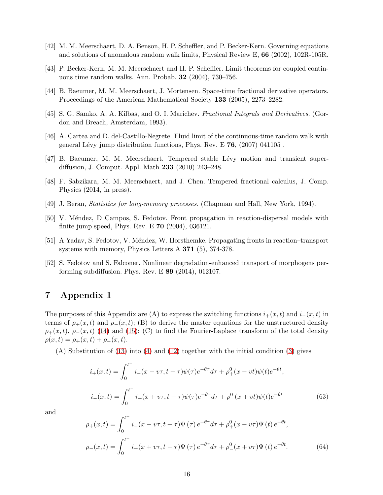- <span id="page-15-1"></span><span id="page-15-0"></span>[42] M. M. Meerschaert, D. A. Benson, H. P. Scheffler, and P. Becker-Kern. Governing equations and solutions of anomalous random walk limits, Physical Review E, 66 (2002), 102R-105R.
- <span id="page-15-2"></span>[43] P. Becker-Kern, M. M. Meerschaert and H. P. Scheffler. Limit theorems for coupled continuous time random walks. Ann. Probab. 32 (2004), 730–756.
- <span id="page-15-4"></span>[44] B. Baeumer, M. M. Meerschaert, J. Mortensen. Space-time fractional derivative operators. Proceedings of the American Mathematical Society 133 (2005), 2273–2282.
- <span id="page-15-3"></span>[45] S. G. Samko, A. A. Kilbas, and O. I. Marichev. Fractional Integrals and Derivatives. (Gordon and Breach, Amsterdam, 1993).
- <span id="page-15-5"></span>[46] A. Cartea and D. del-Castillo-Negrete. Fluid limit of the continuous-time random walk with general Lévy jump distribution functions, Phys. Rev. E  $76$ ,  $(2007)$  041105.
- <span id="page-15-6"></span>[47] B. Baeumer, M. M. Meerschaert. Tempered stable L´evy motion and transient superdiffusion, J. Comput. Appl. Math 233 (2010) 243–248.
- [48] F. Sabzikara, M. M. Meerschaert, and J. Chen. Tempered fractional calculus, J. Comp. Physics (2014, in press).
- <span id="page-15-7"></span>[49] J. Beran, Statistics for long-memory processes. (Chapman and Hall, New York, 1994).
- <span id="page-15-8"></span>[50] V. Méndez, D Campos, S. Fedotov. Front propagation in reaction-dispersal models with finite jump speed, Phys. Rev. E 70 (2004), 036121.
- <span id="page-15-9"></span>[51] A Yadav, S. Fedotov, V. Méndez, W. Horsthemke. Propagating fronts in reaction–transport systems with memory, Physics Letters A 371 (5), 374-378.
- [52] S. Fedotov and S. Falconer. Nonlinear degradation-enhanced transport of morphogens performing subdiffusion. Phys. Rev. E 89 (2014), 012107.

# 7 Appendix 1

The purposes of this Appendix are (A) to express the switching functions  $i_+(x,t)$  and  $i_-(x,t)$  in terms of  $\rho_{+}(x,t)$  and  $\rho_{-}(x,t)$ ; (B) to derive the master equations for the unstructured density  $\rho_+(x,t)$ ,  $\rho_-(x,t)$  [\(14\)](#page-3-4) and [\(15\)](#page-3-5); (C) to find the Fourier-Laplace transform of the total density  $\rho(x,t) = \rho_{+}(x,t) + \rho_{-}(x,t).$ 

(A) Substitution of [\(13\)](#page-3-1) into [\(4\)](#page-2-1) and [\(12\)](#page-3-6) together with the initial condition [\(3\)](#page-1-2) gives

$$
i_{+}(x,t) = \int_{0}^{t^{-}} i_{-}(x - v\tau, t - \tau)\psi(\tau)e^{-\theta\tau}d\tau + \rho_{+}^{0}(x - vt)\psi(t)e^{-\theta t},
$$
  

$$
i_{-}(x,t) = \int_{0}^{t^{-}} i_{+}(x + v\tau, t - \tau)\psi(\tau)e^{-\theta\tau}d\tau + \rho_{-}^{0}(x + vt)\psi(t)e^{-\theta t}
$$
(63)

and

<span id="page-15-11"></span><span id="page-15-10"></span>
$$
\rho_{+}(x,t) = \int_{0}^{t^{-}} i_{-}(x - v\tau, t - \tau) \Psi(\tau) e^{-\theta \tau} d\tau + \rho_{+}^{0}(x - v\tau) \Psi(t) e^{-\theta t},
$$
  

$$
\rho_{-}(x,t) = \int_{0}^{t^{-}} i_{+}(x + v\tau, t - \tau) \Psi(\tau) e^{-\theta \tau} d\tau + \rho_{-}^{0}(x + v\tau) \Psi(t) e^{-\theta t}.
$$
 (64)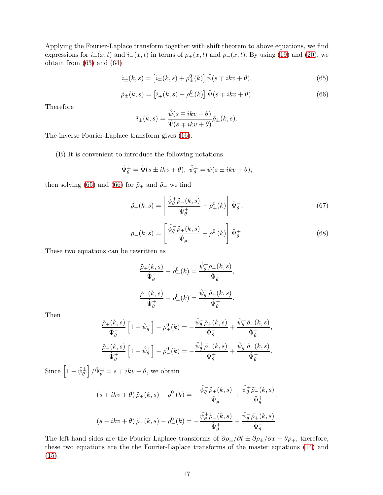Applying the Fourier-Laplace transform together with shift theorem to above equations, we find expressions for  $i_{+}(x,t)$  and  $i_{-}(x,t)$  in terms of  $\rho_{+}(x,t)$  and  $\rho_{-}(x,t)$ . By using [\(19\)](#page-4-3) and [\(20\)](#page-4-4), we obtain from [\(63\)](#page-15-10) and [\(64\)](#page-15-11)

<span id="page-16-0"></span>
$$
\tilde{i}_{\pm}(k,s) = \left[\tilde{i}_{\mp}(k,s) + \rho_{\pm}^{0}(k)\right]\hat{\psi}(s \mp ikv + \theta),\tag{65}
$$

<span id="page-16-1"></span>
$$
\tilde{\rho}_{\pm}(k,s) = \left[\tilde{\imath}_{\mp}(k,s) + \rho_{\pm}^{0}(k)\right] \hat{\Psi}(s \mp ikv + \theta). \tag{66}
$$

Therefore

$$
\tilde{i}_{\pm}(k,s) = \frac{\hat{\psi}(s \mp ikv + \theta)}{\hat{\Psi}(s \mp ikv + \theta)} \tilde{\rho}_{\pm}(k,s).
$$

The inverse Fourier-Laplace transform gives [\(16\)](#page-3-2).

(B) It is convenient to introduce the following notations

$$
\hat{\Psi}_{\theta}^{\pm} = \hat{\Psi}(s \pm ikv + \theta), \ \hat{\psi}_{\theta}^{\pm} = \hat{\psi}(s \pm ikv + \theta),
$$

then solving [\(65\)](#page-16-0) and [\(66\)](#page-16-1) for  $\tilde{\rho}_+$  and  $\tilde{\rho}_-$  we find

<span id="page-16-2"></span>
$$
\tilde{\rho}_{+}(k,s) = \left[\frac{\hat{\psi}_{\theta}^{+}\tilde{\rho}_{-}(k,s)}{\hat{\Psi}_{\theta}^{+}} + \rho_{+}^{0}(k)\right]\hat{\Psi}_{\theta}^{-},\tag{67}
$$

<span id="page-16-3"></span>
$$
\tilde{\rho}_{-}(k,s) = \left[\frac{\hat{\psi}_{\theta}^{-} \tilde{\rho}_{+}(k,s)}{\hat{\Psi}_{\theta}^{-}} + \rho_{-}^{0}(k)\right] \hat{\Psi}_{\theta}^{+}.
$$
\n(68)

These two equations can be rewritten as

$$
\frac{\tilde{\rho}_{+}(k,s)}{\hat{\Psi}_{\theta}^{-}} - \rho_{+}^{0}(k) = \frac{\hat{\psi}_{\theta}^{+}\tilde{\rho}_{-}(k,s)}{\hat{\Psi}_{\theta}^{+}},
$$

$$
\frac{\tilde{\rho}_{-}(k,s)}{\hat{\Psi}_{\theta}^{+}} - \rho_{-}^{0}(k) = \frac{\hat{\psi}_{\theta}^{-}\tilde{\rho}_{+}(k,s)}{\hat{\Psi}_{\theta}^{-}}.
$$

Then

$$
\frac{\tilde{\rho}_{+}(k,s)}{\hat{\Psi}_{\theta}^{-}} \left[1 - \hat{\psi}_{\theta}^{-}\right] - \rho_{+}^{0}(k) = -\frac{\hat{\psi}_{\theta}^{-} \tilde{\rho}_{+}(k,s)}{\hat{\Psi}_{\theta}^{-}} + \frac{\hat{\psi}_{\theta}^{+} \tilde{\rho}_{-}(k,s)}{\hat{\Psi}_{\theta}^{+}},
$$
\n
$$
\frac{\tilde{\rho}_{-}(k,s)}{\hat{\Psi}_{\theta}^{+}} \left[1 - \hat{\psi}_{\theta}^{+}\right] - \rho_{-}^{0}(k) = -\frac{\hat{\psi}_{\theta}^{+} \tilde{\rho}_{-}(k,s)}{\hat{\Psi}_{\theta}^{+}} + \frac{\hat{\psi}_{\theta}^{-} \tilde{\rho}_{+}(k,s)}{\hat{\Psi}_{\theta}^{-}}.
$$

Since  $\left[1-\hat{\psi}_{\theta}^{\pm}\right]/\hat{\Psi}_{\theta}^{\pm} = s \mp ikv + \theta$ , we obtain

$$
(s+ikv+\theta)\tilde{\rho}_{+}(k,s)-\rho_{+}^{0}(k)=-\frac{\hat{\psi}_{\theta}^{-}\tilde{\rho}_{+}(k,s)}{\hat{\Psi}_{\theta}^{-}}+\frac{\hat{\psi}_{\theta}^{+}\tilde{\rho}_{-}(k,s)}{\hat{\Psi}_{\theta}^{+}},
$$

$$
(s-ikv+\theta)\tilde{\rho}_{-}(k,s)-\rho_{-}^{0}(k)=-\frac{\hat{\psi}_{\theta}^{+}\tilde{\rho}_{-}(k,s)}{\hat{\Psi}_{\theta}^{+}}+\frac{\hat{\psi}_{\theta}^{-}\tilde{\rho}_{+}(k,s)}{\hat{\Psi}_{\theta}^{-}}.
$$

The left-hand sides are the Fourier-Laplace transforms of  $\partial \rho_{\pm}/\partial t \pm \partial \rho_{\pm}/\partial x - \theta \rho_{+}$ , therefore, these two equations are the the Fourier-Laplace transforms of the master equations [\(14\)](#page-3-4) and  $(15).$  $(15).$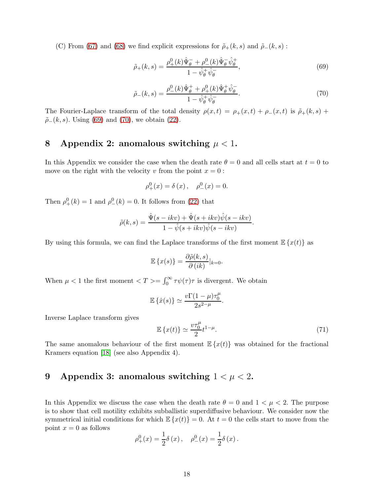(C) From [\(67\)](#page-16-2) and [\(68\)](#page-16-3) we find explicit expressions for  $\tilde{\rho}_+(k,s)$  and  $\tilde{\rho}_-(k,s)$ :

<span id="page-17-0"></span>
$$
\tilde{\rho}_{+}(k,s) = \frac{\rho_{+}^{0}(k)\hat{\Psi}_{\theta}^{-} + \rho_{-}^{0}(k)\hat{\Psi}_{\theta}^{-}\hat{\psi}_{\theta}^{+}}{1 - \hat{\psi}_{\theta}^{+}\hat{\psi}_{\theta}^{-}},
$$
\n(69)

<span id="page-17-1"></span>
$$
\tilde{\rho}_{-}(k,s) = \frac{\rho_{-}^{0}(k)\hat{\Psi}_{\theta}^{+} + \rho_{+}^{0}(k)\hat{\Psi}_{\theta}^{+}\hat{\psi}_{\theta}^{-}}{1 - \hat{\psi}_{\theta}^{+}\hat{\psi}_{\theta}^{-}}.
$$
\n(70)

The Fourier-Laplace transform of the total density  $\rho(x,t) = \rho_+(x,t) + \rho_-(x,t)$  is  $\tilde{\rho}_+(k,s)$  $\tilde{\rho}$ <sub>−</sub>(k, s). Using [\(69\)](#page-17-0) and [\(70\)](#page-17-1), we obtain [\(22\)](#page-4-5).

# 8 Appendix 2: anomalous switching  $\mu < 1$ .

In this Appendix we consider the case when the death rate  $\theta = 0$  and all cells start at  $t = 0$  to move on the right with the velocity v from the point  $x = 0$ :

$$
\rho_{+}^{0}(x) = \delta(x), \quad \rho_{-}^{0}(x) = 0.
$$

Then  $\rho^0_+(k) = 1$  and  $\rho^0_-(k) = 0$ . It follows from [\(22\)](#page-4-5) that

$$
\tilde{\rho}(k,s) = \frac{\hat{\Psi}(s - ikv) + \hat{\Psi}(s + ikv)\hat{\psi}(s - ikv)}{1 - \hat{\psi}(s + ikv)\hat{\psi}(s - ikv)}.
$$

By using this formula, we can find the Laplace transforms of the first moment  $\mathbb{E}\left\{x(t)\right\}$  as

$$
\mathbb{E}\left\{x(s)\right\} = \frac{\partial \tilde{\rho}(k,s)}{\partial (ik)}|_{k=0}.
$$

When  $\mu < 1$  the first moment  $\langle T \rangle = \int_0^\infty \tau \psi(\tau) \tau$  is divergent. We obtain

$$
\mathbb{E}\left\{\hat{x}(s)\right\} \simeq \frac{v\Gamma(1-\mu)\tau_0^{\mu}}{2s^{2-\mu}}.
$$

Inverse Laplace transform gives

$$
\mathbb{E}\left\{x(t)\right\} \simeq \frac{v\tau_0^{\mu}}{2}t^{1-\mu}.\tag{71}
$$

The same anomalous behaviour of the first moment  $\mathbb{E}\left\{x(t)\right\}$  was obtained for the fractional Kramers equation [\[18\]](#page-13-12) (see also Appendix 4).

# 9 Appendix 3: anomalous switching  $1 < \mu < 2$ .

In this Appendix we discuss the case when the death rate  $\theta = 0$  and  $1 < \mu < 2$ . The purpose is to show that cell motility exhibits subballistic superdiffusive behaviour. We consider now the symmetrical initial conditions for which  $\mathbb{E}\left\{x(t)\right\}=0$ . At  $t=0$  the cells start to move from the point  $x = 0$  as follows

$$
\rho_{+}^{0}(x) = \frac{1}{2}\delta(x), \quad \rho_{-}^{0}(x) = \frac{1}{2}\delta(x).
$$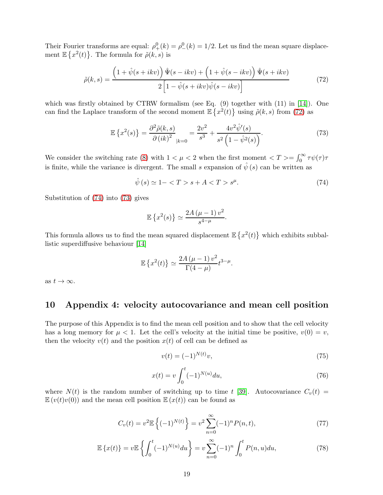Their Fourier transforms are equal:  $\rho^0_+(k) = \rho^0_-(k) = 1/2$ . Let us find the mean square displacement  $\mathbb{E}\left\{x^2(t)\right\}$ . The formula for  $\tilde{\rho}(k,s)$  is

<span id="page-18-0"></span>
$$
\tilde{\rho}(k,s) = \frac{\left(1+\hat{\psi}(s+ikv)\right)\hat{\Psi}(s-ikv) + \left(1+\hat{\psi}(s-ikv)\right)\hat{\Psi}(s+ikv)}{2\left[1-\hat{\psi}(s+ikv)\hat{\psi}(s-ikv)\right]}
$$
(72)

which was firstly obtained by CTRW formalism (see Eq.  $(9)$  together with  $(11)$  in [\[14\]](#page-13-8)). One can find the Laplace transform of the second moment  $\mathbb{E} \{x^2(t)\}\$  using  $\tilde{\rho}(k,s)$  from [\(72\)](#page-18-0) as

<span id="page-18-2"></span>
$$
\mathbb{E}\left\{x^{2}(s)\right\} = \frac{\partial^{2}\tilde{\rho}(k,s)}{\partial\left(ik\right)^{2}}_{|k=0} = \frac{2v^{2}}{s^{3}} + \frac{4v^{2}\hat{\psi}'(s)}{s^{2}\left(1-\hat{\psi}^{2}(s)\right)}.
$$
\n(73)

We consider the switching rate [\(8\)](#page-2-5) with  $1 < \mu < 2$  when the first moment  $\langle T \rangle = \int_0^\infty \tau \psi(\tau) \tau$ is finite, while the variance is divergent. The small s expansion of  $\hat{\psi}(s)$  can be written as

<span id="page-18-1"></span>
$$
\hat{\psi}(s) \simeq 1 - \langle T > s + A < T > s^{\mu}.\tag{74}
$$

Substitution of [\(74\)](#page-18-1) into [\(73\)](#page-18-2) gives

$$
\mathbb{E}\left\{x^2(s)\right\} \simeq \frac{2A\left(\mu-1\right)v^2}{s^{4-\mu}}.
$$

This formula allows us to find the mean squared displacement  $\mathbb{E}\left\{x^2(t)\right\}$  which exhibits subballistic superdiffusive behaviour [\[14\]](#page-13-8)

$$
\mathbb{E}\left\{x^2(t)\right\} \simeq \frac{2A\left(\mu-1\right)v^2}{\Gamma(4-\mu)}t^{3-\mu}.
$$

as  $t \to \infty$ .

## 10 Appendix 4: velocity autocovariance and mean cell position

The purpose of this Appendix is to find the mean cell position and to show that the cell velocity has a long memory for  $\mu < 1$ . Let the cell's velocity at the initial time be positive,  $v(0) = v$ , then the velocity  $v(t)$  and the position  $x(t)$  of cell can be defined as

$$
v(t) = (-1)^{N(t)} v,\t\t(75)
$$

$$
x(t) = v \int_0^t (-1)^{N(u)} du,
$$
\n(76)

where  $N(t)$  is the random number of switching up to time t [\[39\]](#page-14-14). Autocovariance  $C_v(t)$  =  $\mathbb{E}(v(t)v(0))$  and the mean cell position  $\mathbb{E}(x(t))$  can be found as

$$
C_v(t) = v^2 \mathbb{E}\left\{ (-1)^{N(t)} \right\} = v^2 \sum_{n=0}^{\infty} (-1)^n P(n, t), \tag{77}
$$

$$
\mathbb{E}\left\{x(t)\right\} = v\mathbb{E}\left\{\int_0^t (-1)^{N(u)} du\right\} = v \sum_{n=0}^\infty (-1)^n \int_0^t P(n, u) du,\tag{78}
$$